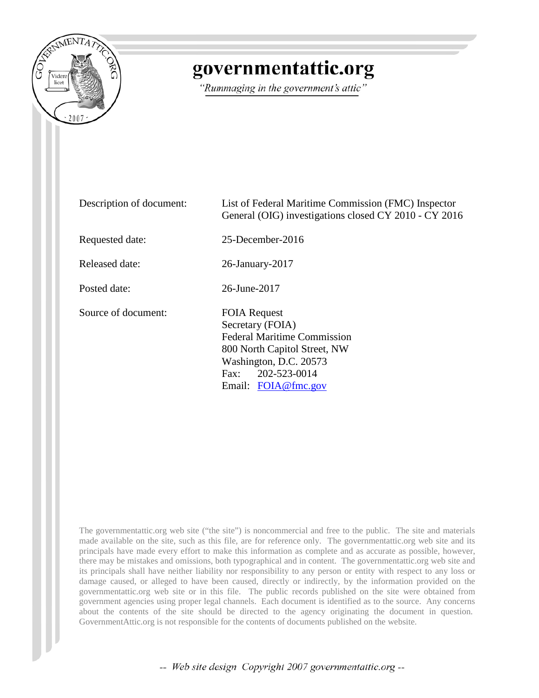

## governmentattic.org

"Rummaging in the government's attic"

Description of document: List of Federal Maritime Commission (FMC) Inspector General (OIG) investigations closed CY 2010 - CY 2016 Requested date: 25-December-2016 Released date: 26-January-2017 Posted date: 26-June-2017 Source of document: FOIA Request Secretary (FOIA) Federal Maritime Commission 800 North Capitol Street, NW Washington, D.C. 20573 Fax: 202-523-0014 Email: [FOIA@fmc.gov](mailto:FOIA@fmc.gov?subject=FOIA%20Request)

The governmentattic.org web site ("the site") is noncommercial and free to the public. The site and materials made available on the site, such as this file, are for reference only. The governmentattic.org web site and its principals have made every effort to make this information as complete and as accurate as possible, however, there may be mistakes and omissions, both typographical and in content. The governmentattic.org web site and its principals shall have neither liability nor responsibility to any person or entity with respect to any loss or damage caused, or alleged to have been caused, directly or indirectly, by the information provided on the governmentattic.org web site or in this file. The public records published on the site were obtained from government agencies using proper legal channels. Each document is identified as to the source. Any concerns about the contents of the site should be directed to the agency originating the document in question. GovernmentAttic.org is not responsible for the contents of documents published on the website.

-- Web site design Copyright 2007 governmentattic.org --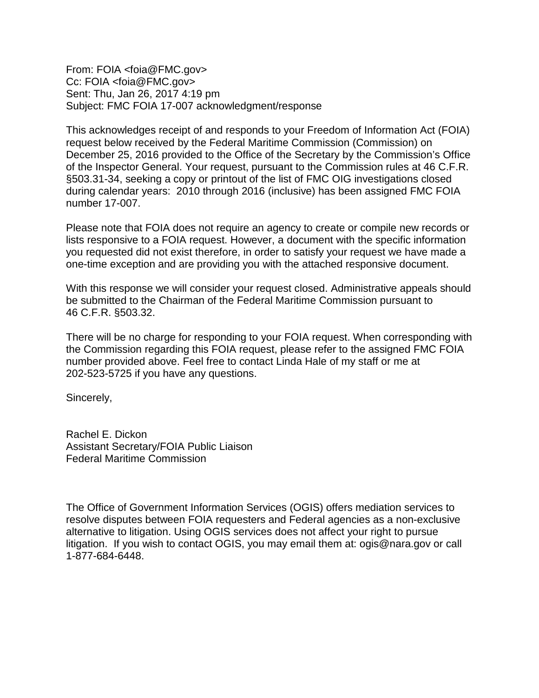From: FOIA <foia@FMC.gov> Cc: FOIA <foia@FMC.gov> Sent: Thu, Jan 26, 2017 4:19 pm Subject: FMC FOIA 17-007 acknowledgment/response

This acknowledges receipt of and responds to your Freedom of Information Act (FOIA) request below received by the Federal Maritime Commission (Commission) on December 25, 2016 provided to the Office of the Secretary by the Commission's Office of the Inspector General. Your request, pursuant to the Commission rules at 46 C.F.R. §503.31-34, seeking a copy or printout of the list of FMC OIG investigations closed during calendar years: 2010 through 2016 (inclusive) has been assigned FMC FOIA number 17-007.

Please note that FOIA does not require an agency to create or compile new records or lists responsive to a FOIA request. However, a document with the specific information you requested did not exist therefore, in order to satisfy your request we have made a one-time exception and are providing you with the attached responsive document.

With this response we will consider your request closed. Administrative appeals should be submitted to the Chairman of the Federal Maritime Commission pursuant to 46 C.F.R. §503.32.

There will be no charge for responding to your FOIA request. When corresponding with the Commission regarding this FOIA request, please refer to the assigned FMC FOIA number provided above. Feel free to contact Linda Hale of my staff or me at 202-523-5725 if you have any questions.

Sincerely,

Rachel E. Dickon Assistant Secretary/FOIA Public Liaison Federal Maritime Commission

The Office of Government Information Services (OGIS) offers mediation services to resolve disputes between FOIA requesters and Federal agencies as a non-exclusive alternative to litigation. Using OGIS services does not affect your right to pursue litigation. If you wish to contact OGIS, you may email them at: ogis@nara.gov or call 1-877-684-6448.